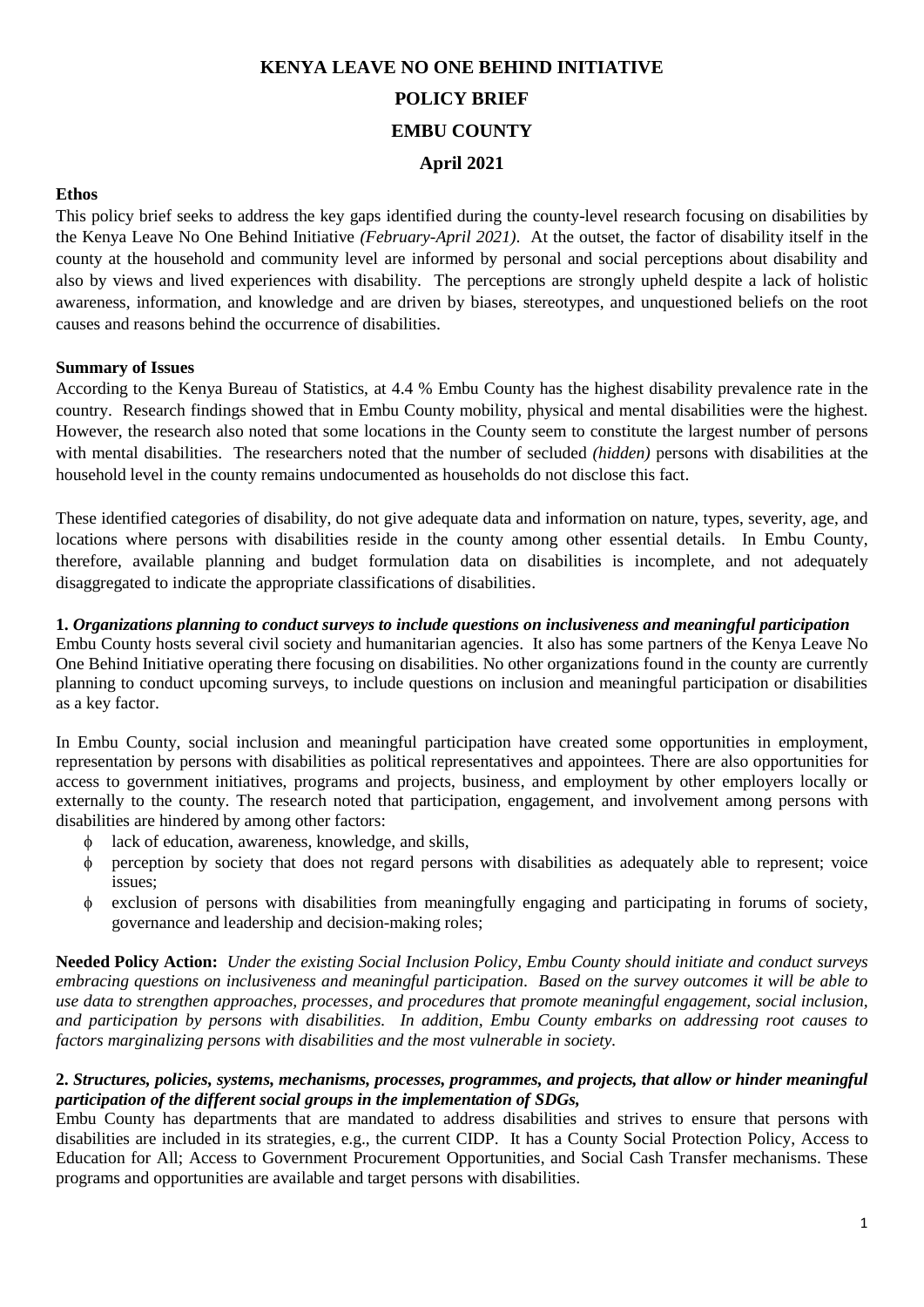# **KENYA LEAVE NO ONE BEHIND INITIATIVE POLICY BRIEF EMBU COUNTY April 2021**

## **Ethos**

This policy brief seeks to address the key gaps identified during the county-level research focusing on disabilities by the Kenya Leave No One Behind Initiative *(February-April 2021)*. At the outset, the factor of disability itself in the county at the household and community level are informed by personal and social perceptions about disability and also by views and lived experiences with disability. The perceptions are strongly upheld despite a lack of holistic awareness, information, and knowledge and are driven by biases, stereotypes, and unquestioned beliefs on the root causes and reasons behind the occurrence of disabilities.

## **Summary of Issues**

According to the Kenya Bureau of Statistics, at 4.4 % Embu County has the highest disability prevalence rate in the country. Research findings showed that in Embu County mobility, physical and mental disabilities were the highest. However, the research also noted that some locations in the County seem to constitute the largest number of persons with mental disabilities. The researchers noted that the number of secluded *(hidden)* persons with disabilities at the household level in the county remains undocumented as households do not disclose this fact.

These identified categories of disability, do not give adequate data and information on nature, types, severity, age, and locations where persons with disabilities reside in the county among other essential details. In Embu County, therefore, available planning and budget formulation data on disabilities is incomplete, and not adequately disaggregated to indicate the appropriate classifications of disabilities.

## **1.** *Organizations planning to conduct surveys to include questions on inclusiveness and meaningful participation*

Embu County hosts several civil society and humanitarian agencies. It also has some partners of the Kenya Leave No One Behind Initiative operating there focusing on disabilities. No other organizations found in the county are currently planning to conduct upcoming surveys, to include questions on inclusion and meaningful participation or disabilities as a key factor.

In Embu County, social inclusion and meaningful participation have created some opportunities in employment, representation by persons with disabilities as political representatives and appointees. There are also opportunities for access to government initiatives, programs and projects, business, and employment by other employers locally or externally to the county. The research noted that participation, engagement, and involvement among persons with disabilities are hindered by among other factors:

- lack of education, awareness, knowledge, and skills,
- perception by society that does not regard persons with disabilities as adequately able to represent; voice issues;
- exclusion of persons with disabilities from meaningfully engaging and participating in forums of society, governance and leadership and decision-making roles;

**Needed Policy Action:** *Under the existing Social Inclusion Policy, Embu County should initiate and conduct surveys embracing questions on inclusiveness and meaningful participation. Based on the survey outcomes it will be able to use data to strengthen approaches, processes, and procedures that promote meaningful engagement, social inclusion, and participation by persons with disabilities. In addition, Embu County embarks on addressing root causes to factors marginalizing persons with disabilities and the most vulnerable in society.*

## **2.** *Structures, policies, systems, mechanisms, processes, programmes, and projects, that allow or hinder meaningful participation of the different social groups in the implementation of SDGs,*

Embu County has departments that are mandated to address disabilities and strives to ensure that persons with disabilities are included in its strategies, e.g., the current CIDP. It has a County Social Protection Policy, Access to Education for All; Access to Government Procurement Opportunities, and Social Cash Transfer mechanisms. These programs and opportunities are available and target persons with disabilities.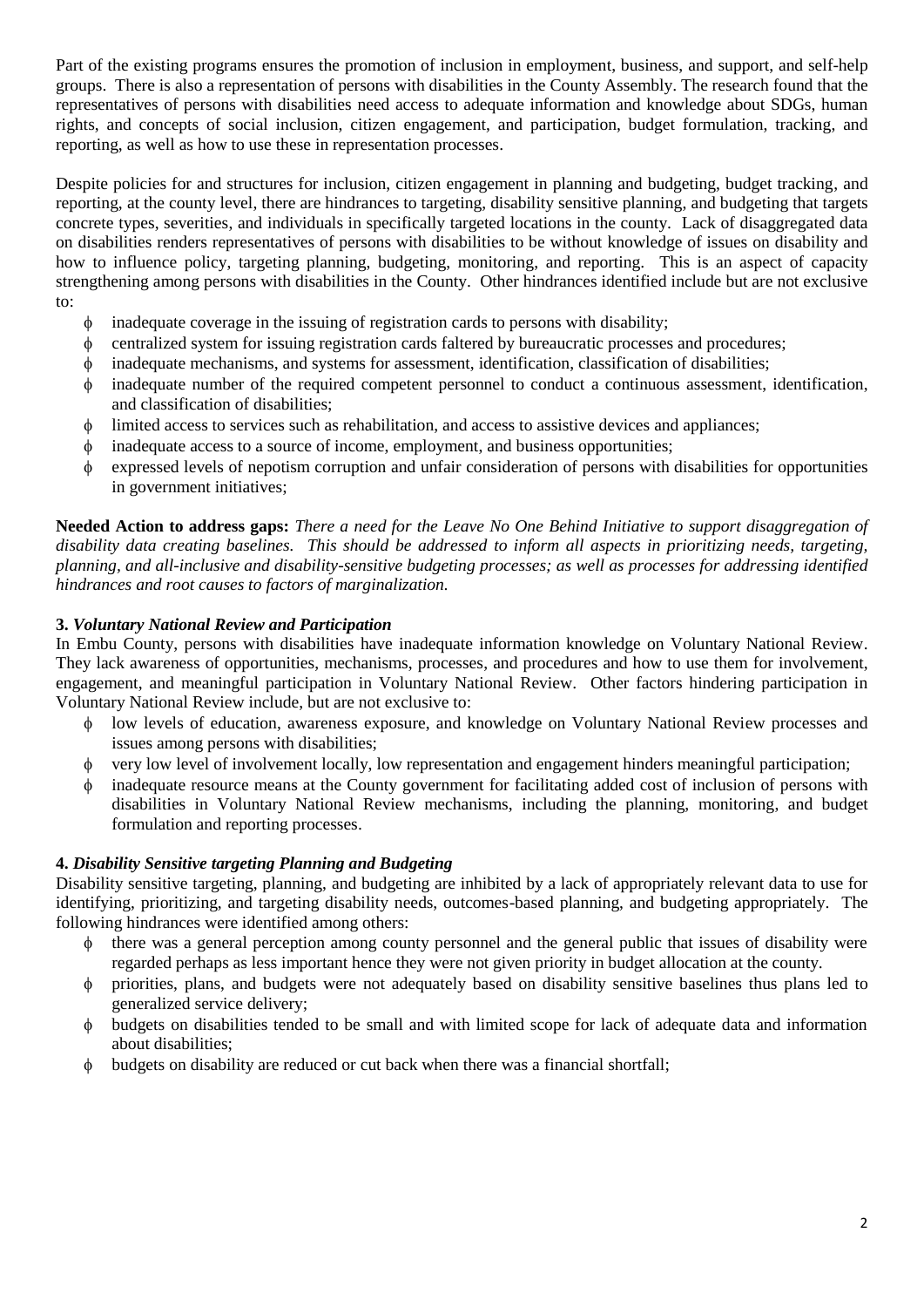Part of the existing programs ensures the promotion of inclusion in employment, business, and support, and self-help groups. There is also a representation of persons with disabilities in the County Assembly. The research found that the representatives of persons with disabilities need access to adequate information and knowledge about SDGs, human rights, and concepts of social inclusion, citizen engagement, and participation, budget formulation, tracking, and reporting, as well as how to use these in representation processes.

Despite policies for and structures for inclusion, citizen engagement in planning and budgeting, budget tracking, and reporting, at the county level, there are hindrances to targeting, disability sensitive planning, and budgeting that targets concrete types, severities, and individuals in specifically targeted locations in the county. Lack of disaggregated data on disabilities renders representatives of persons with disabilities to be without knowledge of issues on disability and how to influence policy, targeting planning, budgeting, monitoring, and reporting. This is an aspect of capacity strengthening among persons with disabilities in the County. Other hindrances identified include but are not exclusive to:

- $\phi$  inadequate coverage in the issuing of registration cards to persons with disability;
- centralized system for issuing registration cards faltered by bureaucratic processes and procedures;
- inadequate mechanisms, and systems for assessment, identification, classification of disabilities;
- inadequate number of the required competent personnel to conduct a continuous assessment, identification, and classification of disabilities;
- limited access to services such as rehabilitation, and access to assistive devices and appliances;
- inadequate access to a source of income, employment, and business opportunities;
- expressed levels of nepotism corruption and unfair consideration of persons with disabilities for opportunities in government initiatives;

**Needed Action to address gaps:** *There a need for the Leave No One Behind Initiative to support disaggregation of disability data creating baselines. This should be addressed to inform all aspects in prioritizing needs, targeting, planning, and all-inclusive and disability-sensitive budgeting processes; as well as processes for addressing identified hindrances and root causes to factors of marginalization.*

## **3.** *Voluntary National Review and Participation*

In Embu County, persons with disabilities have inadequate information knowledge on Voluntary National Review. They lack awareness of opportunities, mechanisms, processes, and procedures and how to use them for involvement, engagement, and meaningful participation in Voluntary National Review. Other factors hindering participation in Voluntary National Review include, but are not exclusive to:

- low levels of education, awareness exposure, and knowledge on Voluntary National Review processes and issues among persons with disabilities;
- very low level of involvement locally, low representation and engagement hinders meaningful participation;
- inadequate resource means at the County government for facilitating added cost of inclusion of persons with disabilities in Voluntary National Review mechanisms, including the planning, monitoring, and budget formulation and reporting processes.

## **4.** *Disability Sensitive targeting Planning and Budgeting*

Disability sensitive targeting, planning, and budgeting are inhibited by a lack of appropriately relevant data to use for identifying, prioritizing, and targeting disability needs, outcomes-based planning, and budgeting appropriately. The following hindrances were identified among others:

- there was a general perception among county personnel and the general public that issues of disability were regarded perhaps as less important hence they were not given priority in budget allocation at the county.
- priorities, plans, and budgets were not adequately based on disability sensitive baselines thus plans led to generalized service delivery;
- budgets on disabilities tended to be small and with limited scope for lack of adequate data and information about disabilities;
- $\phi$  budgets on disability are reduced or cut back when there was a financial shortfall;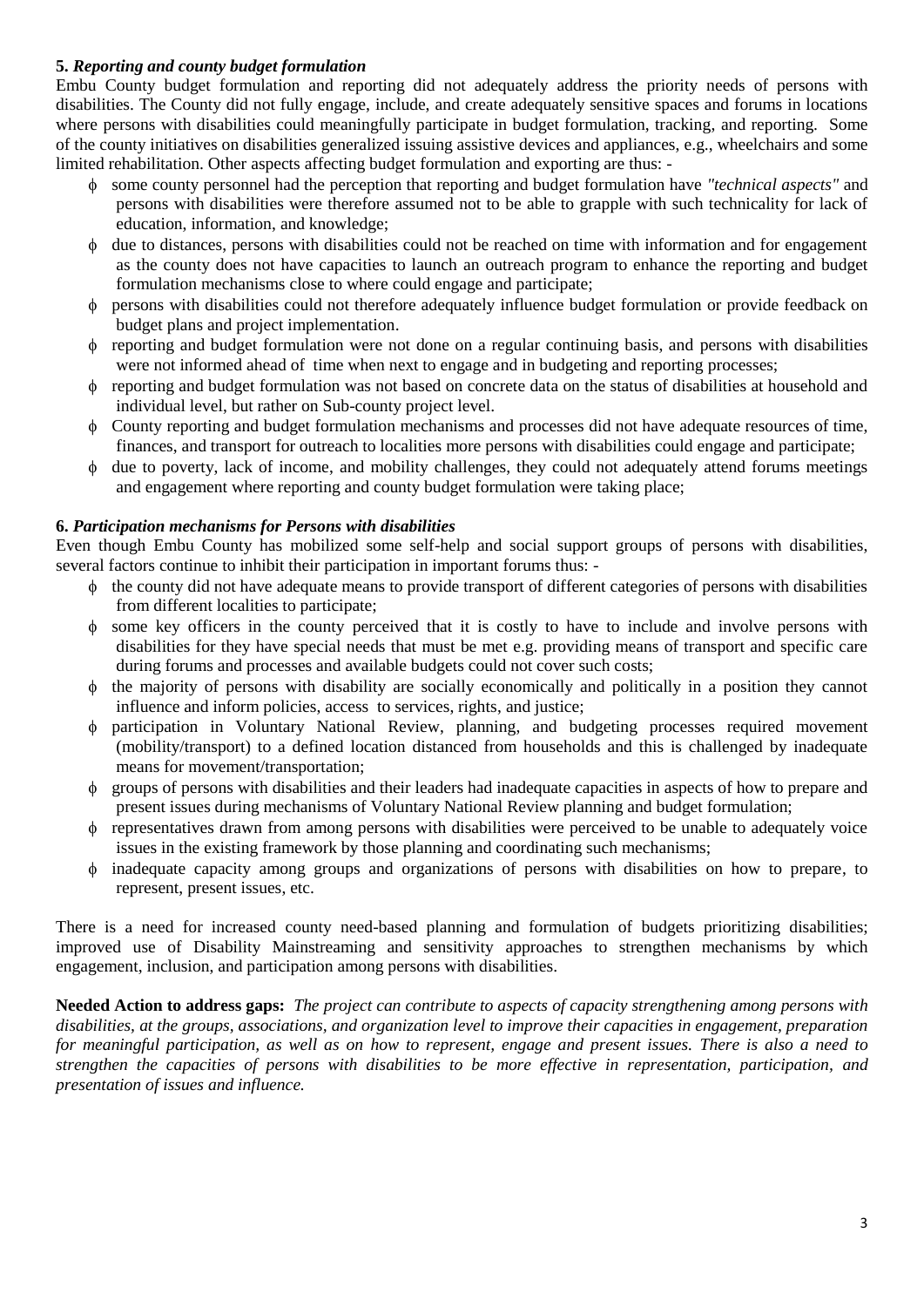## **5.** *Reporting and county budget formulation*

Embu County budget formulation and reporting did not adequately address the priority needs of persons with disabilities. The County did not fully engage, include, and create adequately sensitive spaces and forums in locations where persons with disabilities could meaningfully participate in budget formulation, tracking, and reporting. Some of the county initiatives on disabilities generalized issuing assistive devices and appliances, e.g., wheelchairs and some limited rehabilitation. Other aspects affecting budget formulation and exporting are thus: -

- some county personnel had the perception that reporting and budget formulation have *"technical aspects"* and persons with disabilities were therefore assumed not to be able to grapple with such technicality for lack of education, information, and knowledge;
- $\phi$  due to distances, persons with disabilities could not be reached on time with information and for engagement as the county does not have capacities to launch an outreach program to enhance the reporting and budget formulation mechanisms close to where could engage and participate;
- persons with disabilities could not therefore adequately influence budget formulation or provide feedback on budget plans and project implementation.
- reporting and budget formulation were not done on a regular continuing basis, and persons with disabilities were not informed ahead of time when next to engage and in budgeting and reporting processes;
- reporting and budget formulation was not based on concrete data on the status of disabilities at household and individual level, but rather on Sub-county project level.
- County reporting and budget formulation mechanisms and processes did not have adequate resources of time, finances, and transport for outreach to localities more persons with disabilities could engage and participate;
- due to poverty, lack of income, and mobility challenges, they could not adequately attend forums meetings and engagement where reporting and county budget formulation were taking place;

## **6.** *Participation mechanisms for Persons with disabilities*

Even though Embu County has mobilized some self-help and social support groups of persons with disabilities, several factors continue to inhibit their participation in important forums thus: -

- $\phi$  the county did not have adequate means to provide transport of different categories of persons with disabilities from different localities to participate;
- some key officers in the county perceived that it is costly to have to include and involve persons with disabilities for they have special needs that must be met e.g. providing means of transport and specific care during forums and processes and available budgets could not cover such costs;
- $\phi$  the majority of persons with disability are socially economically and politically in a position they cannot influence and inform policies, access to services, rights, and justice;
- participation in Voluntary National Review, planning, and budgeting processes required movement (mobility/transport) to a defined location distanced from households and this is challenged by inadequate means for movement/transportation;
- groups of persons with disabilities and their leaders had inadequate capacities in aspects of how to prepare and present issues during mechanisms of Voluntary National Review planning and budget formulation;
- representatives drawn from among persons with disabilities were perceived to be unable to adequately voice issues in the existing framework by those planning and coordinating such mechanisms;
- inadequate capacity among groups and organizations of persons with disabilities on how to prepare, to represent, present issues, etc.

There is a need for increased county need-based planning and formulation of budgets prioritizing disabilities; improved use of Disability Mainstreaming and sensitivity approaches to strengthen mechanisms by which engagement, inclusion, and participation among persons with disabilities.

**Needed Action to address gaps:** *The project can contribute to aspects of capacity strengthening among persons with disabilities, at the groups, associations, and organization level to improve their capacities in engagement, preparation for meaningful participation, as well as on how to represent, engage and present issues. There is also a need to strengthen the capacities of persons with disabilities to be more effective in representation, participation, and presentation of issues and influence.*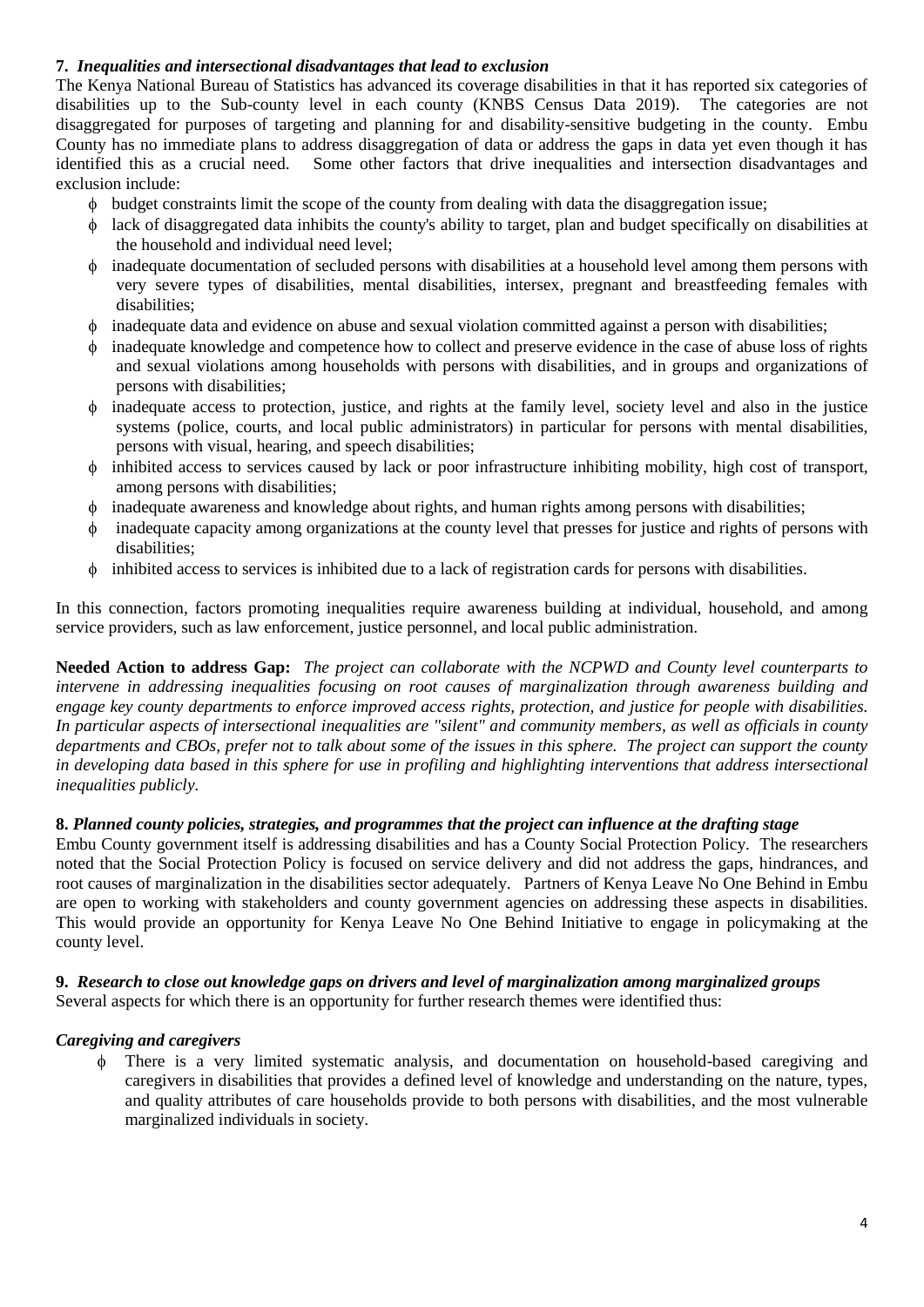## **7.** *Inequalities and intersectional disadvantages that lead to exclusion*

The Kenya National Bureau of Statistics has advanced its coverage disabilities in that it has reported six categories of disabilities up to the Sub-county level in each county (KNBS Census Data 2019). The categories are not disaggregated for purposes of targeting and planning for and disability-sensitive budgeting in the county. Embu County has no immediate plans to address disaggregation of data or address the gaps in data yet even though it has identified this as a crucial need. Some other factors that drive inequalities and intersection disadvantages and exclusion include:

- budget constraints limit the scope of the county from dealing with data the disaggregation issue;
- lack of disaggregated data inhibits the county's ability to target, plan and budget specifically on disabilities at the household and individual need level;
- inadequate documentation of secluded persons with disabilities at a household level among them persons with very severe types of disabilities, mental disabilities, intersex, pregnant and breastfeeding females with disabilities;
- $\phi$  inadequate data and evidence on abuse and sexual violation committed against a person with disabilities;
- inadequate knowledge and competence how to collect and preserve evidence in the case of abuse loss of rights and sexual violations among households with persons with disabilities, and in groups and organizations of persons with disabilities;
- $\phi$  inadequate access to protection, justice, and rights at the family level, society level and also in the justice systems (police, courts, and local public administrators) in particular for persons with mental disabilities, persons with visual, hearing, and speech disabilities;
- inhibited access to services caused by lack or poor infrastructure inhibiting mobility, high cost of transport, among persons with disabilities;
- inadequate awareness and knowledge about rights, and human rights among persons with disabilities;
- inadequate capacity among organizations at the county level that presses for justice and rights of persons with disabilities;
- inhibited access to services is inhibited due to a lack of registration cards for persons with disabilities.

In this connection, factors promoting inequalities require awareness building at individual, household, and among service providers, such as law enforcement, justice personnel, and local public administration.

**Needed Action to address Gap:** *The project can collaborate with the NCPWD and County level counterparts to intervene in addressing inequalities focusing on root causes of marginalization through awareness building and engage key county departments to enforce improved access rights, protection, and justice for people with disabilities. In particular aspects of intersectional inequalities are "silent" and community members, as well as officials in county departments and CBOs, prefer not to talk about some of the issues in this sphere. The project can support the county in developing data based in this sphere for use in profiling and highlighting interventions that address intersectional inequalities publicly.*

## **8.** *Planned county policies, strategies, and programmes that the project can influence at the drafting stage*

Embu County government itself is addressing disabilities and has a County Social Protection Policy. The researchers noted that the Social Protection Policy is focused on service delivery and did not address the gaps, hindrances, and root causes of marginalization in the disabilities sector adequately. Partners of Kenya Leave No One Behind in Embu are open to working with stakeholders and county government agencies on addressing these aspects in disabilities. This would provide an opportunity for Kenya Leave No One Behind Initiative to engage in policymaking at the county level.

## **9.** *Research to close out knowledge gaps on drivers and level of marginalization among marginalized groups*

Several aspects for which there is an opportunity for further research themes were identified thus:

## *Caregiving and caregivers*

 There is a very limited systematic analysis, and documentation on household-based caregiving and caregivers in disabilities that provides a defined level of knowledge and understanding on the nature, types, and quality attributes of care households provide to both persons with disabilities, and the most vulnerable marginalized individuals in society.